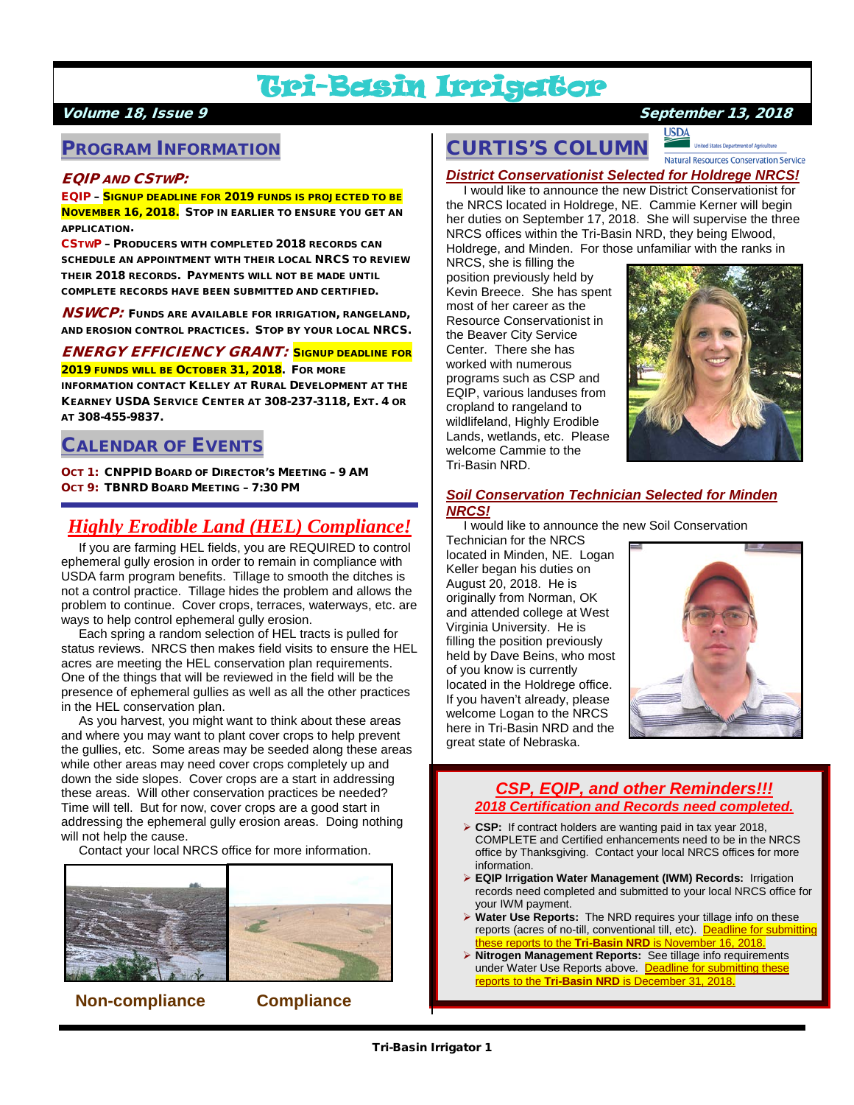# Tri-Basin Irrigator

### PROGRAM INFORMATION

#### EQIP AND CSTWP:

EQIP – SIGNUP DEADLINE FOR 2019 FUNDS IS PROJECTED TO BE NOVEMBER 16, 2018. STOP IN EARLIER TO ENSURE YOU GET AN APPLICATION.

CSTWP – PRODUCERS WITH COMPLETED 2018 RECORDS CAN SCHEDULE AN APPOINTMENT WITH THEIR LOCAL NRCS TO REVIEW THEIR 2018 RECORDS. PAYMENTS WILL NOT BE MADE UNTIL COMPLETE RECORDS HAVE BEEN SUBMITTED AND CERTIFIED.

**NSWCP:** FUNDS ARE AVAILABLE FOR IRRIGATION, RANGELAND, AND EROSION CONTROL PRACTICES. STOP BY YOUR LOCAL NRCS.

ENERGY EFFICIENCY GRANT: SIGNUP DEADLINE FOR 2019 FUNDS WILL BE OCTOBER 31, 2018. FOR MORE

INFORMATION CONTACT KELLEY AT RURAL DEVELOPMENT AT THE KEARNEY USDA SERVICE CENTER AT 308-237-3118, EXT. 4 OR AT 308-455-9837.

### CALENDAR OF EVENTS

OCT 1: CNPPID BOARD OF DIRECTOR'S MEETING – 9 AM OCT 9: TBNRD BOARD MEETING – 7:30 PM

### *Highly Erodible Land (HEL) Compliance!*

 If you are farming HEL fields, you are REQUIRED to control ephemeral gully erosion in order to remain in compliance with USDA farm program benefits. Tillage to smooth the ditches is not a control practice. Tillage hides the problem and allows the problem to continue. Cover crops, terraces, waterways, etc. are ways to help control ephemeral gully erosion.

 Each spring a random selection of HEL tracts is pulled for status reviews. NRCS then makes field visits to ensure the HEL acres are meeting the HEL conservation plan requirements. One of the things that will be reviewed in the field will be the presence of ephemeral gullies as well as all the other practices in the HEL conservation plan.

 As you harvest, you might want to think about these areas and where you may want to plant cover crops to help prevent the gullies, etc. Some areas may be seeded along these areas while other areas may need cover crops completely up and down the side slopes. Cover crops are a start in addressing these areas. Will other conservation practices be needed? Time will tell. But for now, cover crops are a good start in addressing the ephemeral gully erosion areas. Doing nothing will not help the cause.

Contact your local NRCS office for more information.



 **Non-compliance Compliance**

### Volume 18, Issue 9 September 13, 2018

<u>USDA</u> CURTIS'S COLUMN

Natural Resources Conservation Service

*District Conservationist Selected for Holdrege NRCS!* I would like to announce the new District Conservationist for

the NRCS located in Holdrege, NE. Cammie Kerner will begin her duties on September 17, 2018. She will supervise the three NRCS offices within the Tri-Basin NRD, they being Elwood, Holdrege, and Minden. For those unfamiliar with the ranks in

NRCS, she is filling the position previously held by Kevin Breece. She has spent most of her career as the Resource Conservationist in the Beaver City Service Center. There she has worked with numerous programs such as CSP and EQIP, various landuses from cropland to rangeland to wildlifeland, Highly Erodible Lands, wetlands, etc. Please welcome Cammie to the Tri-Basin NRD.



#### *Soil Conservation Technician Selected for Minden NRCS!*

I would like to announce the new Soil Conservation

Technician for the NRCS located in Minden, NE. Logan Keller began his duties on August 20, 2018. He is originally from Norman, OK and attended college at West Virginia University. He is filling the position previously held by Dave Beins, who most of you know is currently located in the Holdrege office. If you haven't already, please welcome Logan to the NRCS here in Tri-Basin NRD and the great state of Nebraska.



### *CSP, EQIP, and other Reminders!!! 2018 Certification and Records need completed.*

- **CSP:** If contract holders are wanting paid in tax year 2018, COMPLETE and Certified enhancements need to be in the NRCS office by Thanksgiving. Contact your local NRCS offices for more information.
- **EQIP Irrigation Water Management (IWM) Records:** Irrigation records need completed and submitted to your local NRCS office for your IWM payment.
- **Water Use Reports:** The NRD requires your tillage info on these reports (acres of no-till, conventional till, etc). Deadline for submitting hese reports to the Tri-Basin NRD is November 16, 2018.
- **Nitrogen Management Reports:** See tillage info requirements under Water Use Reports above. Deadline for submitting these reports to the **Tri-Basin NRD** is December 31, 2018.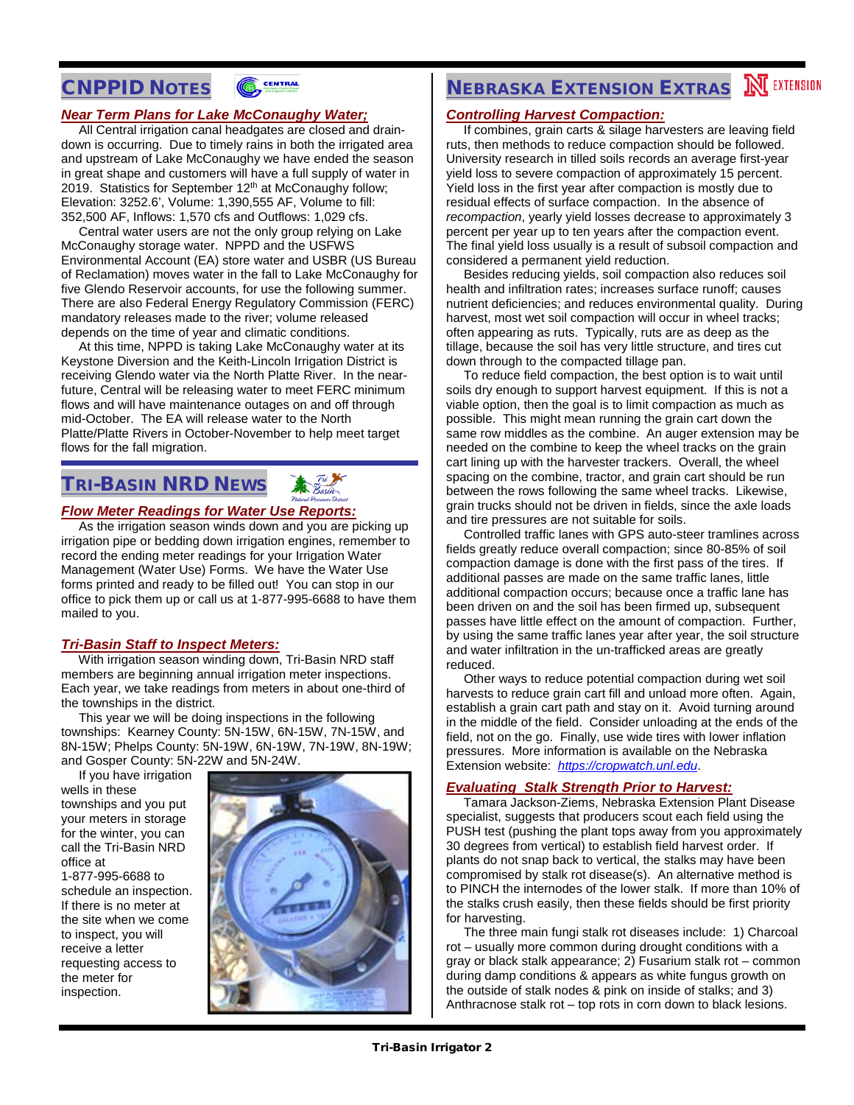### CNPPID NOTES



#### *Near Term Plans for Lake McConaughy Water;*

 All Central irrigation canal headgates are closed and draindown is occurring. Due to timely rains in both the irrigated area and upstream of Lake McConaughy we have ended the season in great shape and customers will have a full supply of water in 2019. Statistics for September 12<sup>th</sup> at McConaughy follow: Elevation: 3252.6', Volume: 1,390,555 AF, Volume to fill: 352,500 AF, Inflows: 1,570 cfs and Outflows: 1,029 cfs.

 Central water users are not the only group relying on Lake McConaughy storage water. NPPD and the USFWS Environmental Account (EA) store water and USBR (US Bureau of Reclamation) moves water in the fall to Lake McConaughy for five Glendo Reservoir accounts, for use the following summer. There are also Federal Energy Regulatory Commission (FERC) mandatory releases made to the river; volume released depends on the time of year and climatic conditions.

 At this time, NPPD is taking Lake McConaughy water at its Keystone Diversion and the Keith-Lincoln Irrigation District is receiving Glendo water via the North Platte River. In the nearfuture, Central will be releasing water to meet FERC minimum flows and will have maintenance outages on and off through mid-October. The EA will release water to the North Platte/Platte Rivers in October-November to help meet target flows for the fall migration.

### TRI-BASIN NRD NEWS



#### *Flow Meter Readings for Water Use Reports:*

 As the irrigation season winds down and you are picking up irrigation pipe or bedding down irrigation engines, remember to record the ending meter readings for your Irrigation Water Management (Water Use) Forms. We have the Water Use forms printed and ready to be filled out! You can stop in our office to pick them up or call us at 1-877-995-6688 to have them mailed to you.

#### *Tri-Basin Staff to Inspect Meters:*

 With irrigation season winding down, Tri-Basin NRD staff members are beginning annual irrigation meter inspections. Each year, we take readings from meters in about one-third of the townships in the district.

 This year we will be doing inspections in the following townships: Kearney County: 5N-15W, 6N-15W, 7N-15W, and 8N-15W; Phelps County: 5N-19W, 6N-19W, 7N-19W, 8N-19W; and Gosper County: 5N-22W and 5N-24W.

 If you have irrigation wells in these townships and you put your meters in storage for the winter, you can call the Tri-Basin NRD office at 1-877-995-6688 to schedule an inspection. If there is no meter at the site when we come to inspect, you will receive a letter requesting access to the meter for inspection.



# **NEBRASKA EXTENSION EXTRAS NEXTENSION**

#### *Controlling Harvest Compaction:*

 If combines, grain carts & silage harvesters are leaving field ruts, then methods to reduce compaction should be followed. University research in tilled soils records an average first-year yield loss to severe compaction of approximately 15 percent. Yield loss in the first year after compaction is mostly due to residual effects of surface compaction. In the absence of *recompaction*, yearly yield losses decrease to approximately 3 percent per year up to ten years after the compaction event. The final yield loss usually is a result of subsoil compaction and considered a permanent yield reduction.

 Besides reducing yields, soil compaction also reduces soil health and infiltration rates; increases surface runoff; causes nutrient deficiencies; and reduces environmental quality. During harvest, most wet soil compaction will occur in wheel tracks; often appearing as ruts. Typically, ruts are as deep as the tillage, because the soil has very little structure, and tires cut down through to the compacted tillage pan.

 To reduce field compaction, the best option is to wait until soils dry enough to support harvest equipment. If this is not a viable option, then the goal is to limit compaction as much as possible. This might mean running the grain cart down the same row middles as the combine. An auger extension may be needed on the combine to keep the wheel tracks on the grain cart lining up with the harvester trackers. Overall, the wheel spacing on the combine, tractor, and grain cart should be run between the rows following the same wheel tracks. Likewise, grain trucks should not be driven in fields, since the axle loads and tire pressures are not suitable for soils.

 Controlled traffic lanes with GPS auto-steer tramlines across fields greatly reduce overall compaction; since 80-85% of soil compaction damage is done with the first pass of the tires. If additional passes are made on the same traffic lanes, little additional compaction occurs; because once a traffic lane has been driven on and the soil has been firmed up, subsequent passes have little effect on the amount of compaction. Further, by using the same traffic lanes year after year, the soil structure and water infiltration in the un-trafficked areas are greatly reduced.

 Other ways to reduce potential compaction during wet soil harvests to reduce grain cart fill and unload more often. Again, establish a grain cart path and stay on it. Avoid turning around in the middle of the field. Consider unloading at the ends of the field, not on the go. Finally, use wide tires with lower inflation pressures. More information is available on the Nebraska Extension website: *[https://cropwatch.unl.edu](https://cropwatch.unl.edu/)*.

#### *Evaluating Stalk Strength Prior to Harvest:*

 Tamara Jackson-Ziems, Nebraska Extension Plant Disease specialist, suggests that producers scout each field using the PUSH test (pushing the plant tops away from you approximately 30 degrees from vertical) to establish field harvest order. If plants do not snap back to vertical, the stalks may have been compromised by stalk rot disease(s). An alternative method is to PINCH the internodes of the lower stalk. If more than 10% of the stalks crush easily, then these fields should be first priority for harvesting.

 The three main fungi stalk rot diseases include: 1) Charcoal rot – usually more common during drought conditions with a gray or black stalk appearance; 2) Fusarium stalk rot – common during damp conditions & appears as white fungus growth on the outside of stalk nodes & pink on inside of stalks; and 3) Anthracnose stalk rot – top rots in corn down to black lesions.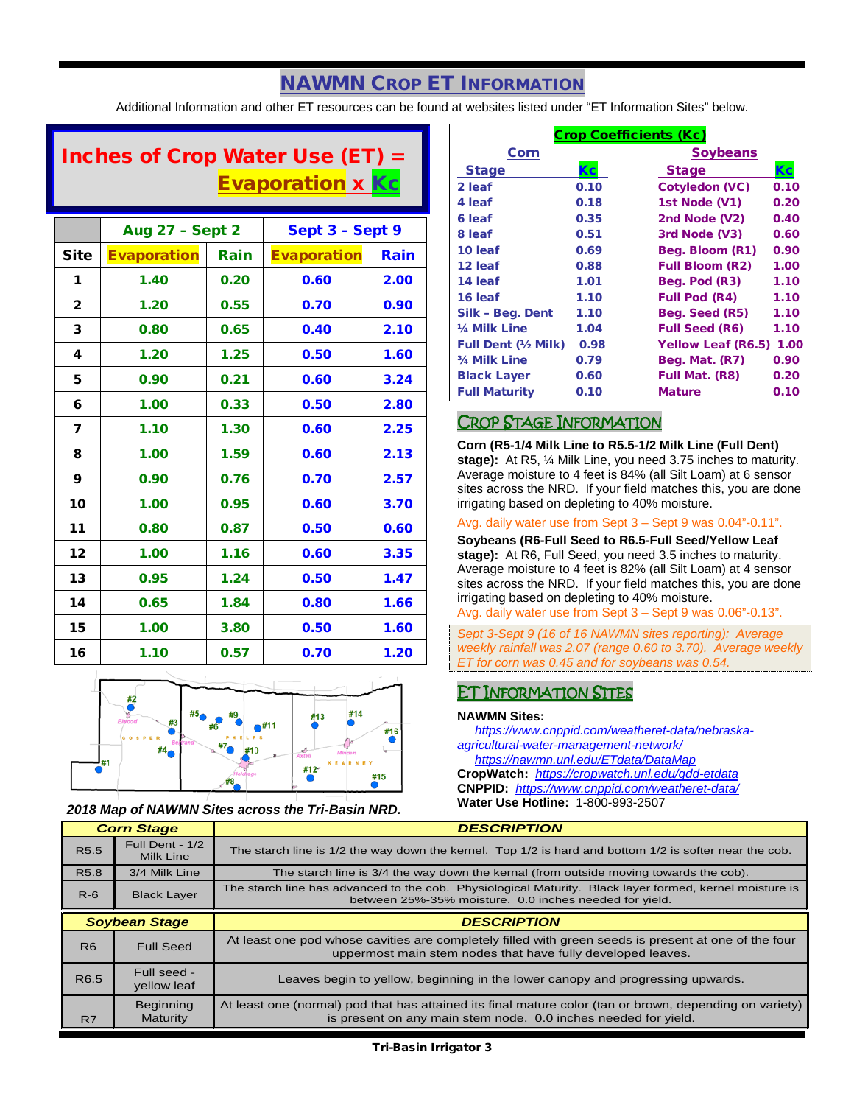### NAWMN CROP ET INFORMATION

Additional Information and other ET resources can be found at websites listed under "ET Information Sites" below.

## Inches of Crop Water Use (ET)  $=$ Evaporation x Kc

|              | <b>Aug 27 - Sept 2</b> |      | Sept 3 - Sept 9    |      |
|--------------|------------------------|------|--------------------|------|
| Site         | <b>Evaporation</b>     | Rain | <b>Evaporation</b> | Rain |
| 1            | 1.40                   | 0.20 | 0.60               | 2.00 |
| $\mathbf{2}$ | 1.20                   | 0.55 | 0.70               | 0.90 |
| 3            | 0.80                   | 0.65 | 0.40               | 2.10 |
| 4            | 1.20                   | 1.25 | 0.50               | 1.60 |
| 5            | 0.90                   | 0.21 | 0.60               | 3.24 |
| 6            | 1.00                   | 0.33 | 0.50               | 2.80 |
| 7            | 1.10                   | 1.30 | 0.60               | 2.25 |
| 8            | 1.00                   | 1.59 | 0.60               | 2.13 |
| 9            | 0.90                   | 0.76 | 0.70               | 2.57 |
| 10           | 1.00                   | 0.95 | 0.60               | 3.70 |
| 11           | 0.80                   | 0.87 | 0.50               | 0.60 |
| 12           | 1.00                   | 1.16 | 0.60               | 3.35 |
| 13           | 0.95                   | 1.24 | 0.50               | 1.47 |
| 14           | 0.65                   | 1.84 | 0.80               | 1.66 |
| 15           | 1.00                   | 3.80 | 0.50               | 1.60 |
| 16           | 1.10                   | 0.57 | 0.70               | 1.20 |



*2018 Map of NAWMN Sites across the Tri-Basin NRD.*

Τ

*Corn Stage*

| <b>Crop Coefficients (Kc)</b> |      |                           |      |
|-------------------------------|------|---------------------------|------|
| Corn                          |      | <b>Soybeans</b>           |      |
| <b>Stage</b>                  | Кc   | <b>Stage</b>              | Kс   |
| 2 leaf                        | 0.10 | <b>Cotyledon (VC)</b>     | 0.10 |
| 4 leaf                        | 0.18 | 1st Node (V1)             | 0.20 |
| 6 leaf                        | 0.35 | 2nd Node (V2)             | 0.40 |
| 8 leaf                        | 0.51 | 3rd Node (V3)             | 0.60 |
| 10 leaf                       | 0.69 | Beg. Bloom (R1)           | 0.90 |
| 12 leaf                       | 0.88 | <b>Full Bloom (R2)</b>    | 1.00 |
| 14 leaf                       | 1.01 | Beg. Pod (R3)             | 1.10 |
| 16 leaf                       | 1.10 | <b>Full Pod (R4)</b>      | 1.10 |
| Silk - Beg. Dent              | 1.10 | Beg. Seed (R5)            | 1.10 |
| 1/4 Milk Line                 | 1.04 | <b>Full Seed (R6)</b>     | 1.10 |
| <b>Full Dent (1/2 Milk)</b>   | 0.98 | <b>Yellow Leaf (R6.5)</b> | 1.00 |
| 3/4 Milk Line                 | 0.79 | Beg. Mat. (R7)            | 0.90 |
| <b>Black Layer</b>            | 0.60 | Full Mat. (R8)            | 0.20 |
| <b>Full Maturity</b>          | 0.10 | <b>Mature</b>             | 0.10 |

### CROP STAGE INFORMATION

**Corn (R5-1/4 Milk Line to R5.5-1/2 Milk Line (Full Dent) stage):** At R5, ¼ Milk Line, you need 3.75 inches to maturity. Average moisture to 4 feet is 84% (all Silt Loam) at 6 sensor sites across the NRD. If your field matches this, you are done irrigating based on depleting to 40% moisture.

#### Avg. daily water use from Sept 3 – Sept 9 was 0.04"-0.11".

**Soybeans (R6-Full Seed to R6.5-Full Seed/Yellow Leaf stage):** At R6, Full Seed, you need 3.5 inches to maturity. Average moisture to 4 feet is 82% (all Silt Loam) at 4 sensor sites across the NRD. If your field matches this, you are done irrigating based on depleting to 40% moisture.

Avg. daily water use from Sept 3 – Sept 9 was 0.06"-0.13".

*Sept 3-Sept 9 (16 of 16 NAWMN sites reporting): Average weekly rainfall was 2.07 (range 0.60 to 3.70). Average weekly ET for corn was 0.45 and for soybeans was 0.54.*

### ET INFORMATION SITES

#### **NAWMN Sites:**

*DESCRIPTION*

 *[https://www.cnppid.com/weatheret-data/nebraska](https://www.cnppid.com/weatheret-data/nebraska-agricultural-water-management-network/)[agricultural-water-management-network/](https://www.cnppid.com/weatheret-data/nebraska-agricultural-water-management-network/) <https://nawmn.unl.edu/ETdata/DataMap>*

**CropWatch:** *<https://cropwatch.unl.edu/gdd-etdata>* **CNPPID:** *<https://www.cnppid.com/weatheret-data/>* **Water Use Hotline:** 1-800-993-2507

| oom olage            |                              | ,,,,,,,,,,,,                                                                                                                                                              |  |
|----------------------|------------------------------|---------------------------------------------------------------------------------------------------------------------------------------------------------------------------|--|
| R <sub>5.5</sub>     | Full Dent - 1/2<br>Milk Line | The starch line is 1/2 the way down the kernel. Top 1/2 is hard and bottom 1/2 is softer near the cob.                                                                    |  |
| R <sub>5.8</sub>     | 3/4 Milk Line                | The starch line is 3/4 the way down the kernal (from outside moving towards the cob).                                                                                     |  |
| $R-6$                | <b>Black Layer</b>           | The starch line has advanced to the cob. Physiological Maturity. Black layer formed, kernel moisture is<br>between 25%-35% moisture. 0.0 inches needed for yield.         |  |
| <b>Soybean Stage</b> |                              | <b>DESCRIPTION</b>                                                                                                                                                        |  |
| R <sub>6</sub>       | <b>Full Seed</b>             | At least one pod whose cavities are completely filled with green seeds is present at one of the four<br>uppermost main stem nodes that have fully developed leaves.       |  |
| R <sub>6.5</sub>     | Full seed -<br>yellow leaf   | Leaves begin to yellow, beginning in the lower canopy and progressing upwards.                                                                                            |  |
| R7                   | Beginning<br><b>Maturity</b> | At least one (normal) pod that has attained its final mature color (tan or brown, depending on variety)<br>is present on any main stem node. 0.0 inches needed for yield. |  |